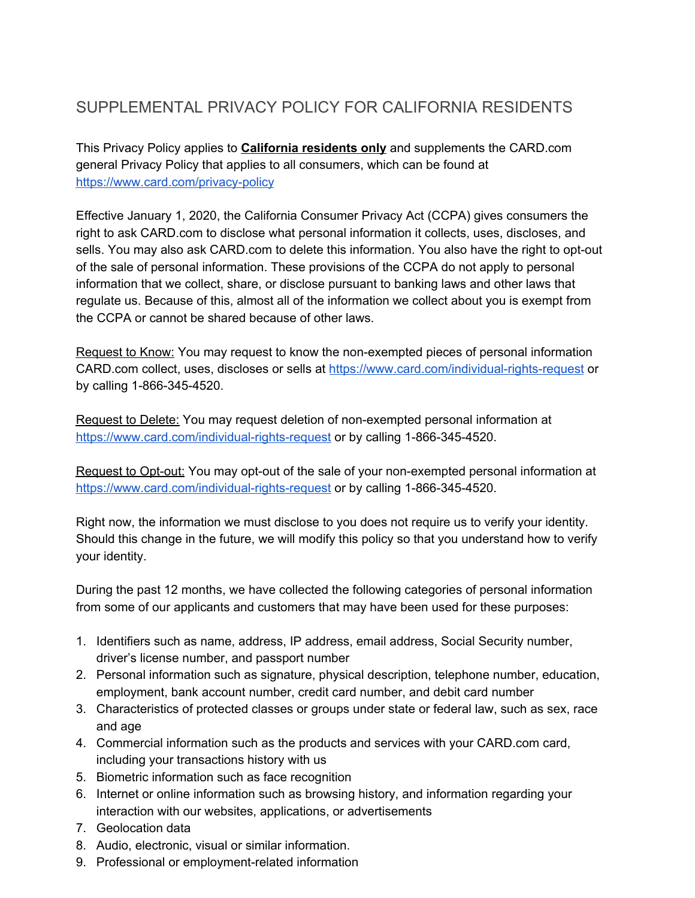## SUPPLEMENTAL PRIVACY POLICY FOR CALIFORNIA RESIDENTS

This Privacy Policy applies to **California residents only** and supplements the CARD.com general Privacy Policy that applies to all consumers, which can be found at <https://www.card.com/privacy-policy>

Effective January 1, 2020, the California Consumer Privacy Act (CCPA) gives consumers the right to ask CARD.com to disclose what personal information it collects, uses, discloses, and sells. You may also ask CARD.com to delete this information. You also have the right to opt-out of the sale of personal information. These provisions of the CCPA do not apply to personal information that we collect, share, or disclose pursuant to banking laws and other laws that regulate us. Because of this, almost all of the information we collect about you is exempt from the CCPA or cannot be shared because of other laws.

Request to Know: You may request to know the non-exempted pieces of personal information CARD.com collect, uses, discloses or sells at <https://www.card.com/individual-rights-request> or by calling 1-866-345-4520.

Request to Delete: You may request deletion of non-exempted personal information at <https://www.card.com/individual-rights-request> or by calling 1-866-345-4520.

Request to Opt-out: You may opt-out of the sale of your non-exempted personal information at <https://www.card.com/individual-rights-request> or by calling 1-866-345-4520.

Right now, the information we must disclose to you does not require us to verify your identity. Should this change in the future, we will modify this policy so that you understand how to verify your identity.

During the past 12 months, we have collected the following categories of personal information from some of our applicants and customers that may have been used for these purposes:

- 1. Identifiers such as name, address, IP address, email address, Social Security number, driver's license number, and passport number
- 2. Personal information such as signature, physical description, telephone number, education, employment, bank account number, credit card number, and debit card number
- 3. Characteristics of protected classes or groups under state or federal law, such as sex, race and age
- 4. Commercial information such as the products and services with your CARD.com card, including your transactions history with us
- 5. Biometric information such as face recognition
- 6. Internet or online information such as browsing history, and information regarding your interaction with our websites, applications, or advertisements
- 7. Geolocation data
- 8. Audio, electronic, visual or similar information.
- 9. Professional or employment-related information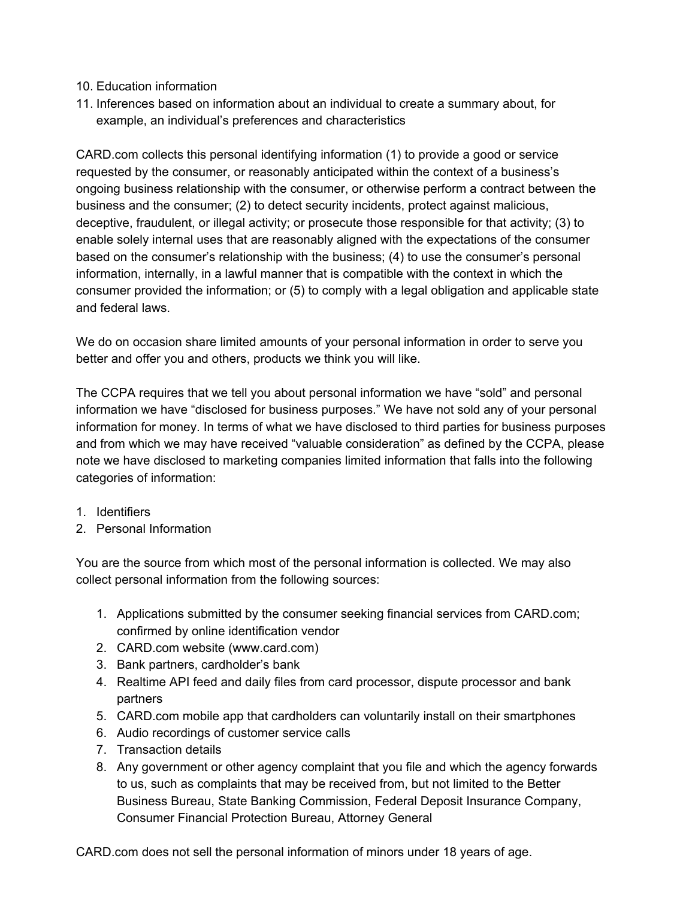## 10. Education information

11. Inferences based on information about an individual to create a summary about, for example, an individual's preferences and characteristics

CARD.com collects this personal identifying information (1) to provide a good or service requested by the consumer, or reasonably anticipated within the context of a business's ongoing business relationship with the consumer, or otherwise perform a contract between the business and the consumer; (2) to detect security incidents, protect against malicious, deceptive, fraudulent, or illegal activity; or prosecute those responsible for that activity; (3) to enable solely internal uses that are reasonably aligned with the expectations of the consumer based on the consumer's relationship with the business; (4) to use the consumer's personal information, internally, in a lawful manner that is compatible with the context in which the consumer provided the information; or (5) to comply with a legal obligation and applicable state and federal laws.

We do on occasion share limited amounts of your personal information in order to serve you better and offer you and others, products we think you will like.

The CCPA requires that we tell you about personal information we have "sold" and personal information we have "disclosed for business purposes." We have not sold any of your personal information for money. In terms of what we have disclosed to third parties for business purposes and from which we may have received "valuable consideration" as defined by the CCPA, please note we have disclosed to marketing companies limited information that falls into the following categories of information:

- 1. Identifiers
- 2. Personal Information

You are the source from which most of the personal information is collected. We may also collect personal information from the following sources:

- 1. Applications submitted by the consumer seeking financial services from CARD.com; confirmed by online identification vendor
- 2. CARD.com website (www.card.com)
- 3. Bank partners, cardholder's bank
- 4. Realtime API feed and daily files from card processor, dispute processor and bank partners
- 5. CARD.com mobile app that cardholders can voluntarily install on their smartphones
- 6. Audio recordings of customer service calls
- 7. Transaction details
- 8. Any government or other agency complaint that you file and which the agency forwards to us, such as complaints that may be received from, but not limited to the Better Business Bureau, State Banking Commission, Federal Deposit Insurance Company, Consumer Financial Protection Bureau, Attorney General

CARD.com does not sell the personal information of minors under 18 years of age.